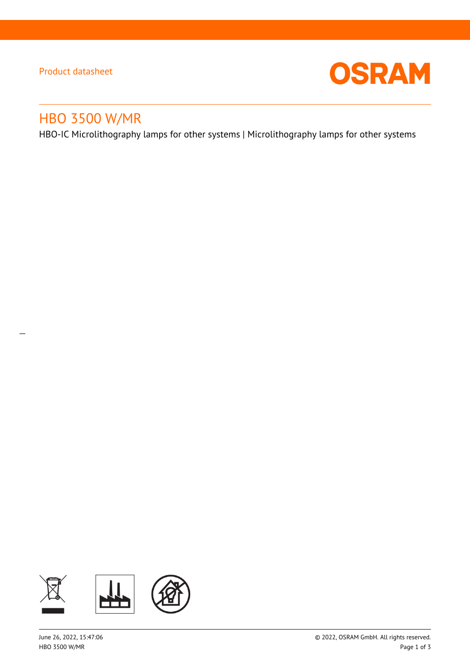Product datasheet

 $\overline{a}$ 



# HBO 3500 W/MR

HBO-IC Microlithography lamps for other systems | Microlithography lamps for other systems

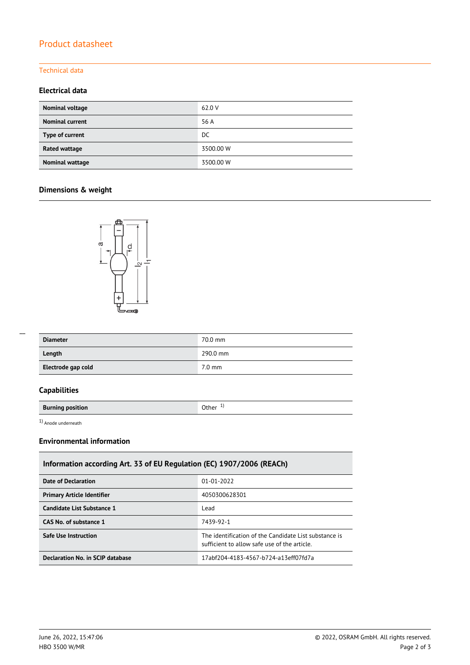# Product datasheet

#### Technical data

#### **Electrical data**

| Nominal voltage        | 62.0 V    |
|------------------------|-----------|
| <b>Nominal current</b> | 56 A      |
| Type of current        | DC        |
| Rated wattage          | 3500.00 W |
| Nominal wattage        | 3500.00 W |

# **Dimensions & weight**



| --- |  |
|-----|--|
|     |  |
|     |  |

| <b>Diameter</b>    | 70.0 mm          |
|--------------------|------------------|
| Length             | 290.0 mm         |
| Electrode gap cold | $7.0 \text{ mm}$ |

### **Capabilities**

**Burning position Burning position** 

1) Anode underneath

#### **Environmental information**

| Information according Art. 33 of EU Regulation (EC) 1907/2006 (REACh) |                                                                                                       |  |  |
|-----------------------------------------------------------------------|-------------------------------------------------------------------------------------------------------|--|--|
| Date of Declaration                                                   | $01 - 01 - 2022$                                                                                      |  |  |
| <b>Primary Article Identifier</b>                                     | 4050300628301                                                                                         |  |  |
| Candidate List Substance 1                                            | Lead                                                                                                  |  |  |
| CAS No. of substance 1                                                | 7439-92-1                                                                                             |  |  |
| <b>Safe Use Instruction</b>                                           | The identification of the Candidate List substance is<br>sufficient to allow safe use of the article. |  |  |
| Declaration No. in SCIP database                                      | 17abf204-4183-4567-b724-a13eff07fd7a                                                                  |  |  |